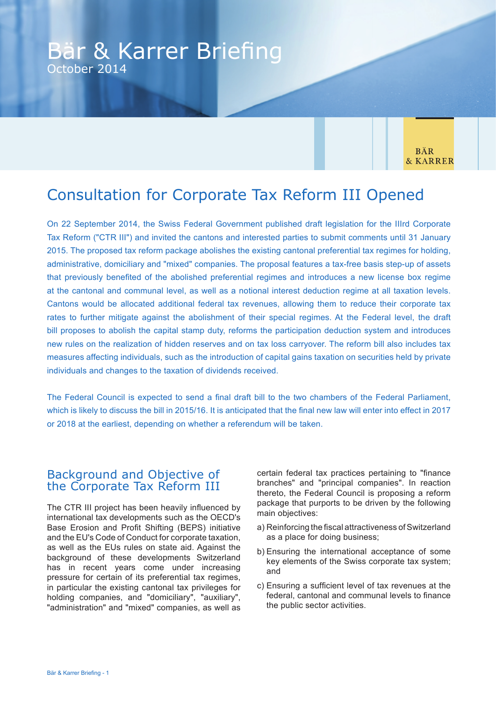# Bär & Karrer Briefing October 2014

**BÄR** & KARRER

# Consultation for Corporate Tax Reform III Opened

On 22 September 2014, the Swiss Federal Government published draft legislation for the IIIrd Corporate Tax Reform ("CTR III") and invited the cantons and interested parties to submit comments until 31 January 2015. The proposed tax reform package abolishes the existing cantonal preferential tax regimes for holding, administrative, domiciliary and "mixed" companies. The proposal features a tax-free basis step-up of assets that previously benefited of the abolished preferential regimes and introduces a new license box regime at the cantonal and communal level, as well as a notional interest deduction regime at all taxation levels. Cantons would be allocated additional federal tax revenues, allowing them to reduce their corporate tax rates to further mitigate against the abolishment of their special regimes. At the Federal level, the draft bill proposes to abolish the capital stamp duty, reforms the participation deduction system and introduces new rules on the realization of hidden reserves and on tax loss carryover. The reform bill also includes tax measures affecting individuals, such as the introduction of capital gains taxation on securities held by private individuals and changes to the taxation of dividends received.

The Federal Council is expected to send a final draft bill to the two chambers of the Federal Parliament, which is likely to discuss the bill in 2015/16. It is anticipated that the final new law will enter into effect in 2017 or 2018 at the earliest, depending on whether a referendum will be taken.

## Background and Objective of the Corporate Tax Reform III

The CTR III project has been heavily influenced by international tax developments such as the OECD's Base Erosion and Profit Shifting (BEPS) initiative and the EU's Code of Conduct for corporate taxation, as well as the EUs rules on state aid. Against the background of these developments Switzerland has in recent years come under increasing pressure for certain of its preferential tax regimes, in particular the existing cantonal tax privileges for holding companies, and "domiciliary", "auxiliary", "administration" and "mixed" companies, as well as

certain federal tax practices pertaining to "finance branches" and "principal companies". In reaction thereto, the Federal Council is proposing a reform package that purports to be driven by the following main objectives:

- a) Reinforcing the fiscal attractiveness of Switzerland as a place for doing business;
- b) Ensuring the international acceptance of some key elements of the Swiss corporate tax system; and
- c) Ensuring a sufficient level of tax revenues at the federal, cantonal and communal levels to finance the public sector activities.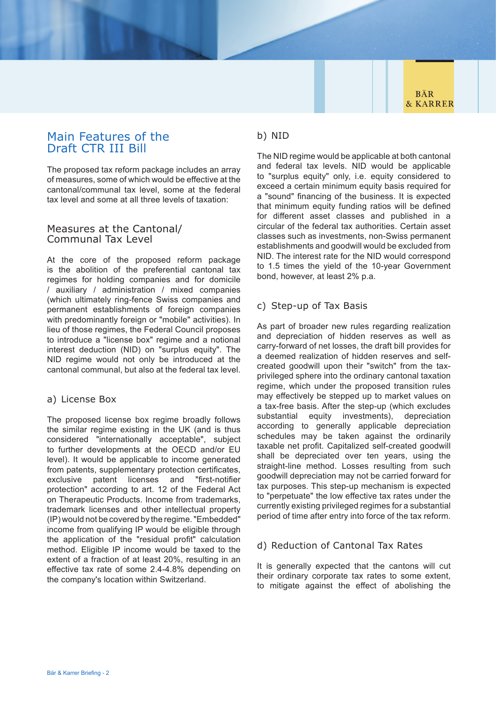## Main Features of the Draft CTR III Bill

The proposed tax reform package includes an array of measures, some of which would be effective at the cantonal/communal tax level, some at the federal tax level and some at all three levels of taxation:

### Measures at the Cantonal/ Communal Tax Level

At the core of the proposed reform package is the abolition of the preferential cantonal tax regimes for holding companies and for domicile / auxiliary / administration / mixed companies (which ultimately ring-fence Swiss companies and permanent establishments of foreign companies with predominantly foreign or "mobile" activities). In lieu of those regimes, the Federal Council proposes to introduce a "license box" regime and a notional interest deduction (NID) on "surplus equity". The NID regime would not only be introduced at the cantonal communal, but also at the federal tax level.

## a) License Box

The proposed license box regime broadly follows the similar regime existing in the UK (and is thus considered "internationally acceptable", subject to further developments at the OECD and/or EU level). It would be applicable to income generated from patents, supplementary protection certificates, exclusive patent licenses and "first-notifier protection" according to art. 12 of the Federal Act on Therapeutic Products. Income from trademarks, trademark licenses and other intellectual property (IP) would not be covered by the regime. "Embedded" income from qualifying IP would be eligible through the application of the "residual profit" calculation method. Eligible IP income would be taxed to the extent of a fraction of at least 20%, resulting in an effective tax rate of some 2.4-4.8% depending on the company's location within Switzerland.

## b) NID

The NID regime would be applicable at both cantonal and federal tax levels. NID would be applicable to "surplus equity" only, i.e. equity considered to exceed a certain minimum equity basis required for a "sound" financing of the business. It is expected that minimum equity funding ratios will be defined for different asset classes and published in a circular of the federal tax authorities. Certain asset classes such as investments, non-Swiss permanent establishments and goodwill would be excluded from NID. The interest rate for the NID would correspond to 1.5 times the yield of the 10-year Government bond, however, at least 2% p.a.

## c) Step-up of Tax Basis

As part of broader new rules regarding realization and depreciation of hidden reserves as well as carry-forward of net losses, the draft bill provides for a deemed realization of hidden reserves and selfcreated goodwill upon their "switch" from the taxprivileged sphere into the ordinary cantonal taxation regime, which under the proposed transition rules may effectively be stepped up to market values on a tax-free basis. After the step-up (which excludes substantial equity investments), depreciation according to generally applicable depreciation schedules may be taken against the ordinarily taxable net profit. Capitalized self-created goodwill shall be depreciated over ten years, using the straight-line method. Losses resulting from such goodwill depreciation may not be carried forward for tax purposes. This step-up mechanism is expected to "perpetuate" the low effective tax rates under the currently existing privileged regimes for a substantial period of time after entry into force of the tax reform.

## d) Reduction of Cantonal Tax Rates

It is generally expected that the cantons will cut their ordinary corporate tax rates to some extent, to mitigate against the effect of abolishing the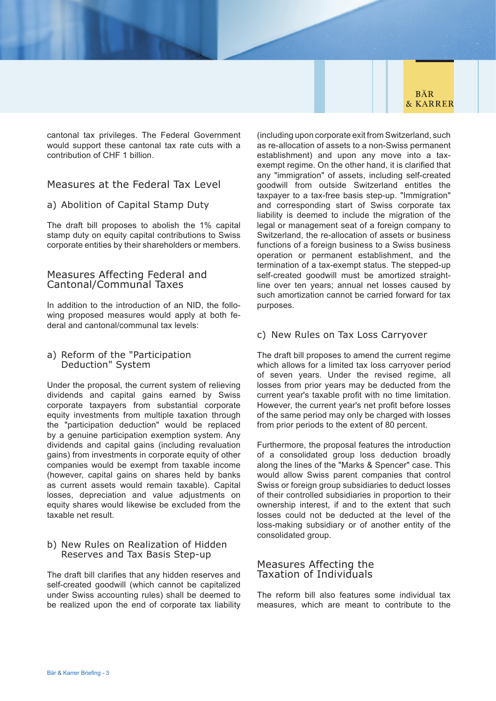

cantonal tax privileges. The Federal Government would support these cantonal tax rate cuts with a contribution of CHF 1 billion.

## Measures at the Federal Tax Level

#### a) Abolition of Capital Stamp Duty

The draft bill proposes to abolish the 1% capital stamp duty on equity capital contributions to Swiss corporate entities by their shareholders or members.

#### Measures Affecting Federal and Cantonal/Communal Taxes

In addition to the introduction of an NID, the following proposed measures would apply at both federal and cantonal/communal tax levels:

### a) Reform of the "Participation Deduction" System

Under the proposal, the current system of relieving dividends and capital gains earned by Swiss corporate taxpayers from substantial corporate equity investments from multiple taxation through the "participation deduction" would be replaced by a genuine participation exemption system. Any dividends and capital gains (including revaluation gains) from investments in corporate equity of other companies would be exempt from taxable income (however, capital gains on shares held by banks as current assets would remain taxable). Capital losses, depreciation and value adjustments on equity shares would likewise be excluded from the taxable net result.

#### b) New Rules on Realization of Hidden Reserves and Tax Basis Step-up

The draft bill clarifies that any hidden reserves and self-created goodwill (which cannot be capitalized under Swiss accounting rules) shall be deemed to be realized upon the end of corporate tax liability

(including upon corporate exit from Switzerland, such as re-allocation of assets to a non-Swiss permanent establishment) and upon any move into a taxexempt regime. On the other hand, it is clarified that any "immigration" of assets, including self-created goodwill from outside Switzerland entitles the taxpayer to a tax-free basis step-up. "Immigration" and corresponding start of Swiss corporate tax liability is deemed to include the migration of the legal or management seat of a foreign company to Switzerland, the re-allocation of assets or business functions of a foreign business to a Swiss business operation or permanent establishment, and the termination of a tax-exempt status. The stepped-up self-created goodwill must be amortized straightline over ten years; annual net losses caused by such amortization cannot be carried forward for tax purposes.

#### c) New Rules on Tax Loss Carryover

The draft bill proposes to amend the current regime which allows for a limited tax loss carryover period of seven years. Under the revised regime, all losses from prior years may be deducted from the current year's taxable profit with no time limitation. However, the current year's net profit before losses of the same period may only be charged with losses from prior periods to the extent of 80 percent.

Furthermore, the proposal features the introduction of a consolidated group loss deduction broadly along the lines of the "Marks & Spencer" case. This would allow Swiss parent companies that control Swiss or foreign group subsidiaries to deduct losses of their controlled subsidiaries in proportion to their ownership interest, if and to the extent that such losses could not be deducted at the level of the loss-making subsidiary or of another entity of the consolidated group.

#### Measures Affecting the Taxation of Individuals

The reform bill also features some individual tax measures, which are meant to contribute to the